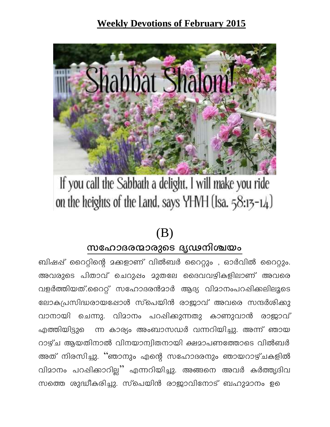### **Weekly Devotions of February 2015**



# If you call the Sabbath a delight. I will make you ride on the heights of the Land, says YHVH (Isa.  $58:15-14$ )

# $(B)$

### സഹോദരന്മാരുടെ ദൃഢനിശ്ചയം

ബിഷപ്പ് റൈറ്റിന്റെ മക്കളാണ് വിൽബർ റൈറ്റും , ഓർവിൽ റൈറ്റും. അവരുടെ പിതാവ് ചെറുപ്പം മുതലേ ദൈവവഴികളിലാണ് അവരെ വളർത്തിയത്.റൈറ്റ് സഹോദരൻമാർ ആദ്യ വിമാനംപറഷിക്കലിലൂടെ ലോകപ്രസിദ്ധരായപ്പോൾ സ്പെയിൻ രാജാവ് അവരെ സന്ദർശിക്കു വാനായി ചെന്നു. വിമാനം പറഷിക്കുന്നതു കാണുവാൻ രാജാവ് എത്തിയിട്ടുെ ന്ന കാര്യം അംബാസഡർ വന്നറിയിച്ചു. അന്ന് ഞായ റാഴ്ച ആയതിനാൽ വിനയാന്വിതനായി ക്ഷമാപണത്തോടെ വിൽബർ അത് നിരസിച്ചു. ''ഞാനും എന്റെ സഹോദരനും ഞായറാഴ്ചകളിൽ വിമാനം പറപ്പിക്കാറില്ല് എന്നറിയിച്ചു. അങ്ങനെ അവർ കർത്തൃദിവ സത്തെ ശുദ്ധീകരിച്ചു. സ്പെയിൻ രാജാവിനോട് ബഹുമാനം ഉെ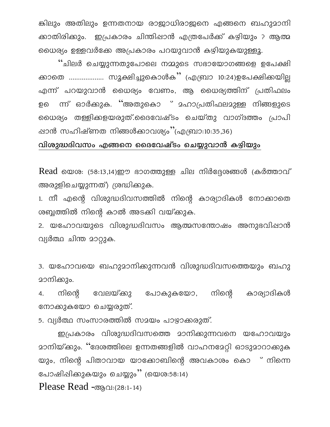കിലും അതിലും ഉന്നതനായ രാജാധിരാജനെ എങ്ങനെ ബഹുമാനി ക്കാതിരിക്കും. ഇപ്രകാരം ചിന്തിഷാൻ എത്രപേർക്ക് കഴിയും ? ആത്മ യൈര്യം ഉള്ളവർക്കേ അപ്രകാരം പറയുവാൻ കഴിയുകയുള്ളൂ.

''ചിലർ ചെയ്യുന്നതുപോലെ നമ്മുടെ സഭായോഗങ്ങളെ ഉപേക്ഷി ക്കാതെ ................... സൂക്ഷിച്ചുകൊൾക്'' (എബ്രാ 10:24)ഉപേക്ഷിക്കയില്ല എന്ന് പറയുവാൻ ധൈര്യം വേണം, ആ ധൈര്യത്തിന് പ്രതിഫലം ന്ന് ഓർക്കുക. ''അതുകൊ ് മഹാപ്രതിഫലമുള്ള നിങ്ങളുടെ ഉ൭ യൈര്യം തള്ളിക്കളയരുത്.ദൈവേഷ്ടം ചെയ്തു വാഗ്ദത്തം പ്രാപി ഷാൻ സഹിഷ്ണത നിങ്ങൾക്കാവശ്യം''(എബ്രാ:10:35,36)

#### വിശുദ്ധദിവസം എങ്ങനെ ദൈവേഷ്ടം ചെയ്യുവാൻ കഴിയും

 $Read\ 60006: (58:13,14)$ ഈ ഭാഗത്തുള്ള ചില നിർദ്ദേശങ്ങൾ (കർത്താവ് അരുളിചെയ്യുന്നത്) ശ്രദ്ധിക്കുക.

1. നീ എന്റെ വിശുദ്ധദിവസത്തിൽ നിന്റെ കാര്യാദികൾ നോക്കാതെ ശബ്ബത്തിൽ നിന്റെ കാൽ അടക്കി വയ്ക്കുക.

2. യഹോവയുടെ വിശുദ്ധദിവസം ആത്മസന്തോഷം അനുഭവിഷാൻ വ്യർത്ഥ ചിന്ത മാറ്റുക.

3. യഹോവയെ ബഹുമാനിക്കുന്നവൻ വിശുദ്ധദിവസത്തെയും ബഹു മാനിക്കും.

നിന്റെ വേലയ്ക്കു പോകുകയോ, നിന്റെ കാര്യാദികൾ 4. നോക്കുകയോ ചെയ്യരുത്.

5. വ്യർത്ഥ സംസാരത്തിൽ സമയം പാഴ്യാക്കരുത്.

ഇപ്രകാരം വിശുദ്ധദിവസത്തെ മാനിക്കുന്നവനെ യഹോവയും <u>മാനിയ്ക്കും. ''ദേശത്തിലെ ഉന്നതങ്ങളിൽ വാഹനമേറ്റി ഓടുമാറാക്കുക</u> യും, നിന്റെ പിതാവായ യാക്കോബിന്റെ അവകാശം കൊ ് നിന്നെ പോഷിപ്പിക്കുകയും ചെയ്യും'' (യെശ:58:14)

Please Read  $\sigma_{\text{B}}$  $\Omega$ : (28:1-14)